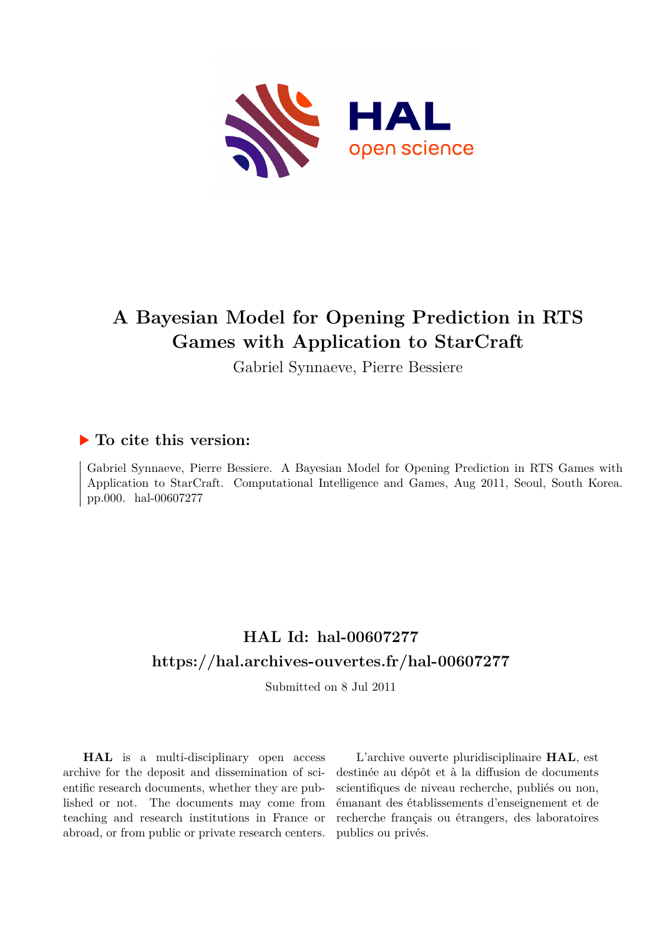

# **A Bayesian Model for Opening Prediction in RTS Games with Application to StarCraft**

Gabriel Synnaeve, Pierre Bessiere

## **To cite this version:**

Gabriel Synnaeve, Pierre Bessiere. A Bayesian Model for Opening Prediction in RTS Games with Application to StarCraft. Computational Intelligence and Games, Aug 2011, Seoul, South Korea. pp.000. hal-00607277

## **HAL Id: hal-00607277 <https://hal.archives-ouvertes.fr/hal-00607277>**

Submitted on 8 Jul 2011

**HAL** is a multi-disciplinary open access archive for the deposit and dissemination of scientific research documents, whether they are published or not. The documents may come from teaching and research institutions in France or abroad, or from public or private research centers.

L'archive ouverte pluridisciplinaire **HAL**, est destinée au dépôt et à la diffusion de documents scientifiques de niveau recherche, publiés ou non, émanant des établissements d'enseignement et de recherche français ou étrangers, des laboratoires publics ou privés.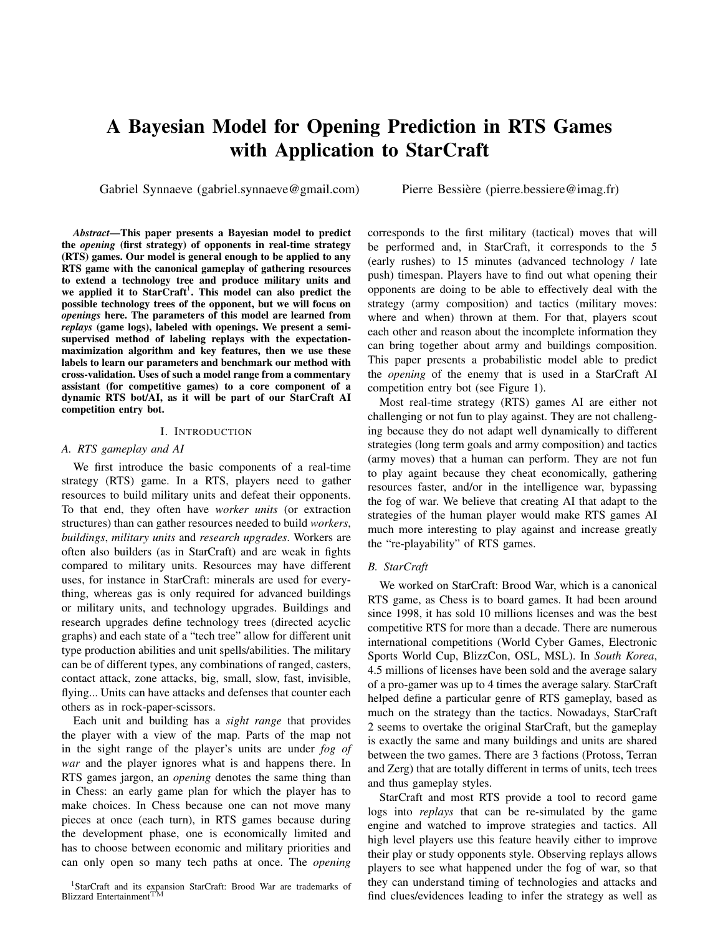## A Bayesian Model for Opening Prediction in RTS Games with Application to StarCraft

Gabriel Synnaeve (gabriel.synnaeve@gmail.com) Pierre Bessière (pierre.bessiere@imag.fr)

*Abstract*—This paper presents a Bayesian model to predict the *opening* (first strategy) of opponents in real-time strategy (RTS) games. Our model is general enough to be applied to any RTS game with the canonical gameplay of gathering resources to extend a technology tree and produce military units and we applied it to StarCraft<sup>1</sup>. This model can also predict the possible technology trees of the opponent, but we will focus on *openings* here. The parameters of this model are learned from *replays* (game logs), labeled with openings. We present a semisupervised method of labeling replays with the expectationmaximization algorithm and key features, then we use these labels to learn our parameters and benchmark our method with cross-validation. Uses of such a model range from a commentary assistant (for competitive games) to a core component of a dynamic RTS bot/AI, as it will be part of our StarCraft AI competition entry bot.

## I. INTRODUCTION

## *A. RTS gameplay and AI*

We first introduce the basic components of a real-time strategy (RTS) game. In a RTS, players need to gather resources to build military units and defeat their opponents. To that end, they often have *worker units* (or extraction structures) than can gather resources needed to build *workers*, *buildings*, *military units* and *research upgrades*. Workers are often also builders (as in StarCraft) and are weak in fights compared to military units. Resources may have different uses, for instance in StarCraft: minerals are used for everything, whereas gas is only required for advanced buildings or military units, and technology upgrades. Buildings and research upgrades define technology trees (directed acyclic graphs) and each state of a "tech tree" allow for different unit type production abilities and unit spells/abilities. The military can be of different types, any combinations of ranged, casters, contact attack, zone attacks, big, small, slow, fast, invisible, flying... Units can have attacks and defenses that counter each others as in rock-paper-scissors.

Each unit and building has a *sight range* that provides the player with a view of the map. Parts of the map not in the sight range of the player's units are under *fog of war* and the player ignores what is and happens there. In RTS games jargon, an *opening* denotes the same thing than in Chess: an early game plan for which the player has to make choices. In Chess because one can not move many pieces at once (each turn), in RTS games because during the development phase, one is economically limited and has to choose between economic and military priorities and can only open so many tech paths at once. The *opening*

<sup>1</sup>StarCraft and its expansion StarCraft: Brood War are trademarks of Blizzard Entertainment<sup>TM</sup>

corresponds to the first military (tactical) moves that will be performed and, in StarCraft, it corresponds to the 5 (early rushes) to 15 minutes (advanced technology / late push) timespan. Players have to find out what opening their opponents are doing to be able to effectively deal with the strategy (army composition) and tactics (military moves: where and when) thrown at them. For that, players scout each other and reason about the incomplete information they can bring together about army and buildings composition. This paper presents a probabilistic model able to predict the *opening* of the enemy that is used in a StarCraft AI competition entry bot (see Figure 1).

Most real-time strategy (RTS) games AI are either not challenging or not fun to play against. They are not challenging because they do not adapt well dynamically to different strategies (long term goals and army composition) and tactics (army moves) that a human can perform. They are not fun to play againt because they cheat economically, gathering resources faster, and/or in the intelligence war, bypassing the fog of war. We believe that creating AI that adapt to the strategies of the human player would make RTS games AI much more interesting to play against and increase greatly the "re-playability" of RTS games.

## *B. StarCraft*

We worked on StarCraft: Brood War, which is a canonical RTS game, as Chess is to board games. It had been around since 1998, it has sold 10 millions licenses and was the best competitive RTS for more than a decade. There are numerous international competitions (World Cyber Games, Electronic Sports World Cup, BlizzCon, OSL, MSL). In *South Korea*, 4.5 millions of licenses have been sold and the average salary of a pro-gamer was up to 4 times the average salary. StarCraft helped define a particular genre of RTS gameplay, based as much on the strategy than the tactics. Nowadays, StarCraft 2 seems to overtake the original StarCraft, but the gameplay is exactly the same and many buildings and units are shared between the two games. There are 3 factions (Protoss, Terran and Zerg) that are totally different in terms of units, tech trees and thus gameplay styles.

StarCraft and most RTS provide a tool to record game logs into *replays* that can be re-simulated by the game engine and watched to improve strategies and tactics. All high level players use this feature heavily either to improve their play or study opponents style. Observing replays allows players to see what happened under the fog of war, so that they can understand timing of technologies and attacks and find clues/evidences leading to infer the strategy as well as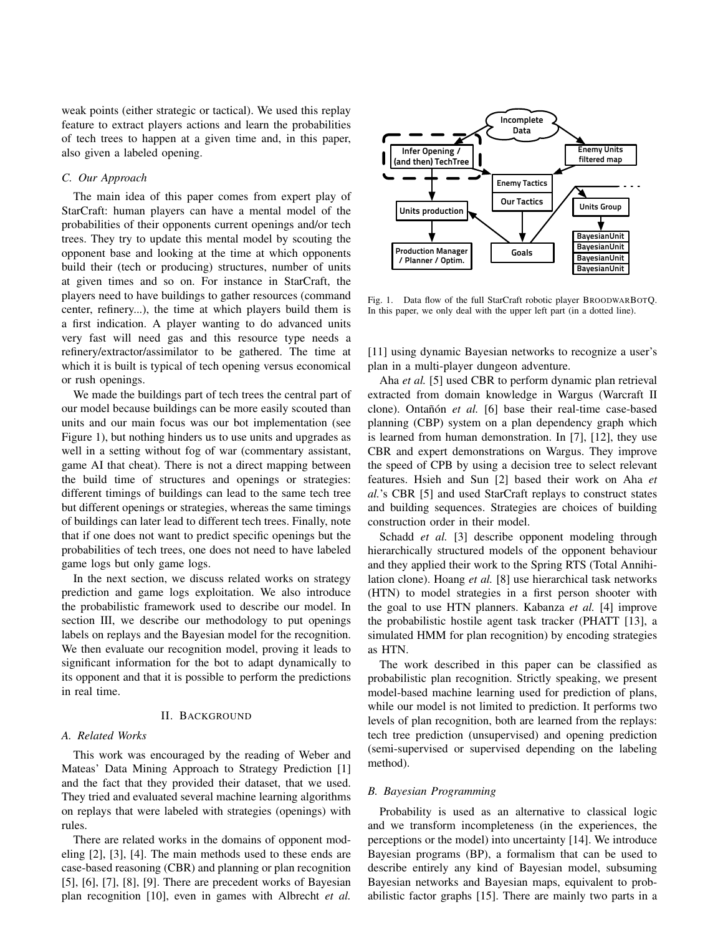weak points (either strategic or tactical). We used this replay feature to extract players actions and learn the probabilities of tech trees to happen at a given time and, in this paper, also given a labeled opening.

## *C. Our Approach*

The main idea of this paper comes from expert play of StarCraft: human players can have a mental model of the probabilities of their opponents current openings and/or tech trees. They try to update this mental model by scouting the opponent base and looking at the time at which opponents build their (tech or producing) structures, number of units at given times and so on. For instance in StarCraft, the players need to have buildings to gather resources (command center, refinery...), the time at which players build them is a first indication. A player wanting to do advanced units very fast will need gas and this resource type needs a refinery/extractor/assimilator to be gathered. The time at which it is built is typical of tech opening versus economical or rush openings.

We made the buildings part of tech trees the central part of our model because buildings can be more easily scouted than units and our main focus was our bot implementation (see Figure 1), but nothing hinders us to use units and upgrades as well in a setting without fog of war (commentary assistant, game AI that cheat). There is not a direct mapping between the build time of structures and openings or strategies: different timings of buildings can lead to the same tech tree but different openings or strategies, whereas the same timings of buildings can later lead to different tech trees. Finally, note that if one does not want to predict specific openings but the probabilities of tech trees, one does not need to have labeled game logs but only game logs.

In the next section, we discuss related works on strategy prediction and game logs exploitation. We also introduce the probabilistic framework used to describe our model. In section III, we describe our methodology to put openings labels on replays and the Bayesian model for the recognition. We then evaluate our recognition model, proving it leads to significant information for the bot to adapt dynamically to its opponent and that it is possible to perform the predictions in real time.

#### II. BACKGROUND

#### *A. Related Works*

This work was encouraged by the reading of Weber and Mateas' Data Mining Approach to Strategy Prediction [1] and the fact that they provided their dataset, that we used. They tried and evaluated several machine learning algorithms on replays that were labeled with strategies (openings) with rules.

There are related works in the domains of opponent modeling [2], [3], [4]. The main methods used to these ends are case-based reasoning (CBR) and planning or plan recognition [5], [6], [7], [8], [9]. There are precedent works of Bayesian plan recognition [10], even in games with Albrecht *et al.*



Fig. 1. Data flow of the full StarCraft robotic player BROODWARBOTQ. In this paper, we only deal with the upper left part (in a dotted line).

[11] using dynamic Bayesian networks to recognize a user's plan in a multi-player dungeon adventure.

Aha *et al.* [5] used CBR to perform dynamic plan retrieval extracted from domain knowledge in Wargus (Warcraft II clone). Ontañón et al. [6] base their real-time case-based planning (CBP) system on a plan dependency graph which is learned from human demonstration. In [7], [12], they use CBR and expert demonstrations on Wargus. They improve the speed of CPB by using a decision tree to select relevant features. Hsieh and Sun [2] based their work on Aha *et al.*'s CBR [5] and used StarCraft replays to construct states and building sequences. Strategies are choices of building construction order in their model.

Schadd *et al.* [3] describe opponent modeling through hierarchically structured models of the opponent behaviour and they applied their work to the Spring RTS (Total Annihilation clone). Hoang *et al.* [8] use hierarchical task networks (HTN) to model strategies in a first person shooter with the goal to use HTN planners. Kabanza *et al.* [4] improve the probabilistic hostile agent task tracker (PHATT [13], a simulated HMM for plan recognition) by encoding strategies as HTN.

The work described in this paper can be classified as probabilistic plan recognition. Strictly speaking, we present model-based machine learning used for prediction of plans, while our model is not limited to prediction. It performs two levels of plan recognition, both are learned from the replays: tech tree prediction (unsupervised) and opening prediction (semi-supervised or supervised depending on the labeling method).

### *B. Bayesian Programming*

Probability is used as an alternative to classical logic and we transform incompleteness (in the experiences, the perceptions or the model) into uncertainty [14]. We introduce Bayesian programs (BP), a formalism that can be used to describe entirely any kind of Bayesian model, subsuming Bayesian networks and Bayesian maps, equivalent to probabilistic factor graphs [15]. There are mainly two parts in a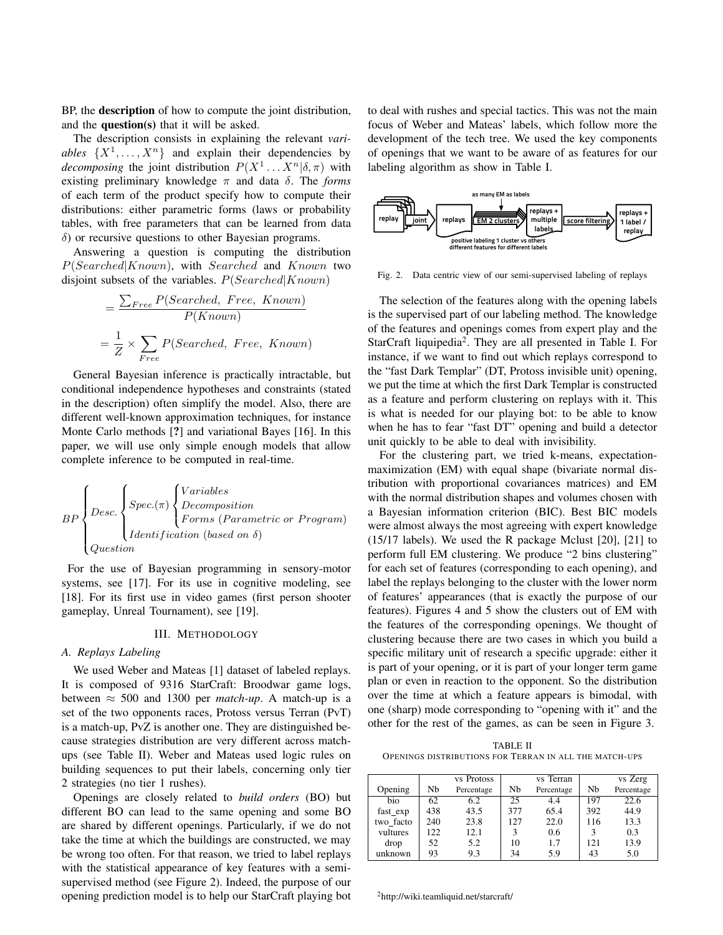BP, the description of how to compute the joint distribution, and the question(s) that it will be asked.

The description consists in explaining the relevant *variables*  $\{X^1, \ldots, X^n\}$  and explain their dependencies by *decomposing* the joint distribution  $P(X^1 \dots X^n | \delta, \pi)$  with existing preliminary knowledge  $\pi$  and data  $\delta$ . The *forms* of each term of the product specify how to compute their distributions: either parametric forms (laws or probability tables, with free parameters that can be learned from data  $\delta$ ) or recursive questions to other Bayesian programs.

Answering a question is computing the distribution  $P(Searched|Known)$ , with *Searched* and *Known* two disjoint subsets of the variables.  $P(Searched|Known)$ 

$$
= \frac{\sum_{Free} P(Searched, Free, Known)}{P(Known)}
$$

$$
= \frac{1}{Z} \times \sum_{Free} P(Searched, Free, Known)
$$

General Bayesian inference is practically intractable, but conditional independence hypotheses and constraints (stated in the description) often simplify the model. Also, there are different well-known approximation techniques, for instance Monte Carlo methods [?] and variational Bayes [16]. In this paper, we will use only simple enough models that allow complete inference to be computed in real-time.

$$
BP\n\begin{cases}\n\text{Desc.} \\
\text{Spec.}(\pi) \\
\begin{cases}\n\text{Decomposition} \\
\text{Forms (Parametric or Program)} \\
\text{Question} \\
\end{cases}\n\end{cases}
$$

For the use of Bayesian programming in sensory-motor systems, see [17]. For its use in cognitive modeling, see [18]. For its first use in video games (first person shooter gameplay, Unreal Tournament), see [19].

#### III. METHODOLOGY

#### *A. Replays Labeling*

We used Weber and Mateas [1] dataset of labeled replays. It is composed of 9316 StarCraft: Broodwar game logs, between  $\approx$  500 and 1300 per *match-up*. A match-up is a set of the two opponents races, Protoss versus Terran (PvT) is a match-up, PvZ is another one. They are distinguished because strategies distribution are very different across matchups (see Table II). Weber and Mateas used logic rules on building sequences to put their labels, concerning only tier 2 strategies (no tier 1 rushes).

Openings are closely related to *build orders* (BO) but different BO can lead to the same opening and some BO are shared by different openings. Particularly, if we do not take the time at which the buildings are constructed, we may be wrong too often. For that reason, we tried to label replays with the statistical appearance of key features with a semisupervised method (see Figure 2). Indeed, the purpose of our opening prediction model is to help our StarCraft playing bot to deal with rushes and special tactics. This was not the main focus of Weber and Mateas' labels, which follow more the development of the tech tree. We used the key components of openings that we want to be aware of as features for our labeling algorithm as show in Table I.



Fig. 2. Data centric view of our semi-supervised labeling of replays

The selection of the features along with the opening labels is the supervised part of our labeling method. The knowledge of the features and openings comes from expert play and the StarCraft liquipedia<sup>2</sup>. They are all presented in Table I. For instance, if we want to find out which replays correspond to the "fast Dark Templar" (DT, Protoss invisible unit) opening, we put the time at which the first Dark Templar is constructed as a feature and perform clustering on replays with it. This is what is needed for our playing bot: to be able to know when he has to fear "fast DT" opening and build a detector unit quickly to be able to deal with invisibility.

For the clustering part, we tried k-means, expectationmaximization (EM) with equal shape (bivariate normal distribution with proportional covariances matrices) and EM with the normal distribution shapes and volumes chosen with a Bayesian information criterion (BIC). Best BIC models were almost always the most agreeing with expert knowledge (15/17 labels). We used the R package Mclust [20], [21] to perform full EM clustering. We produce "2 bins clustering" for each set of features (corresponding to each opening), and label the replays belonging to the cluster with the lower norm of features' appearances (that is exactly the purpose of our features). Figures 4 and 5 show the clusters out of EM with the features of the corresponding openings. We thought of clustering because there are two cases in which you build a specific military unit of research a specific upgrade: either it is part of your opening, or it is part of your longer term game plan or even in reaction to the opponent. So the distribution over the time at which a feature appears is bimodal, with one (sharp) mode corresponding to "opening with it" and the other for the rest of the games, as can be seen in Figure 3.

TABLE II OPENINGS DISTRIBUTIONS FOR TERRAN IN ALL THE MATCH-UPS

|           |     | vs Protoss |     | vs Terran  |      | vs Zerg    |
|-----------|-----|------------|-----|------------|------|------------|
| Opening   | Nb  | Percentage | Nb  | Percentage | Nh   | Percentage |
| bio       | 62  | 6.2        | 25  | 4.4        | 197  | 22.6       |
| fast_exp  | 438 | 43.5       | 377 | 65.4       | 392  | 44.9       |
| two facto | 240 | 23.8       | 127 | 22.0       | 116  | 13.3       |
| vultures  | 122 | 12.1       | 3   | 0.6        | 3    | 0.3        |
| drop      | 52  | 5.2        | 10  | 1.7        | 12.1 | 13.9       |
| unknown   | 93  | 9.3        | 34  | 5.9        | 43   | 5.0        |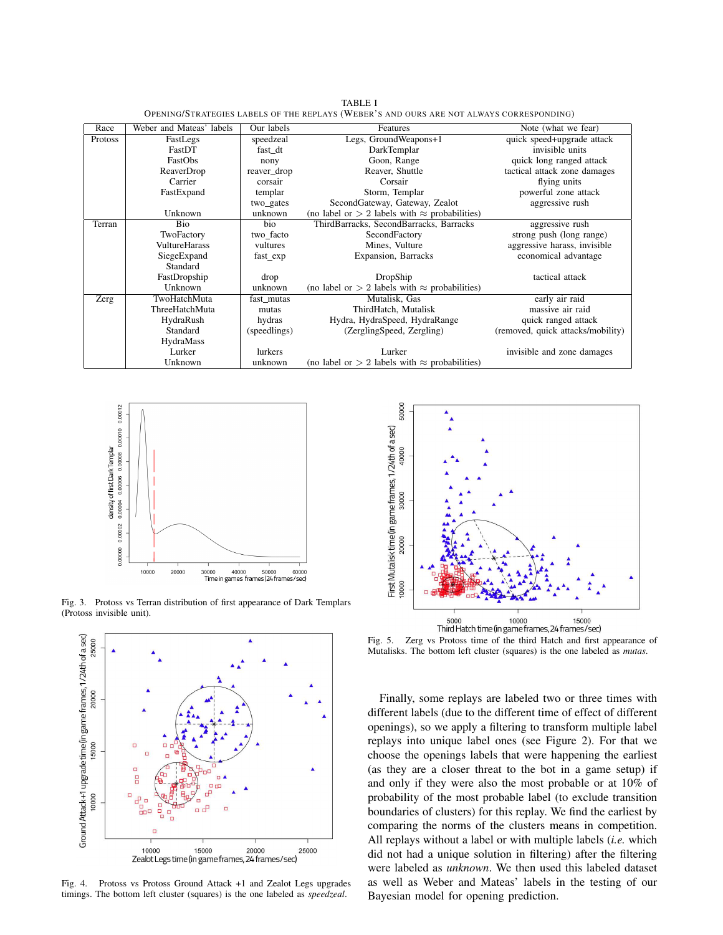|         | OPENING/STRATEGIES LABELS OF THE REPLATS (WEBER S AND OURS ARE NOT ALWATS CORRESPONDING) |              |                                                         |                                   |  |  |  |  |
|---------|------------------------------------------------------------------------------------------|--------------|---------------------------------------------------------|-----------------------------------|--|--|--|--|
| Race    | Weber and Mateas' labels                                                                 | Our labels   | Features                                                | Note (what we fear)               |  |  |  |  |
| Protoss | FastLegs                                                                                 | speedzeal    | Legs, GroundWeapons+1                                   | quick speed+upgrade attack        |  |  |  |  |
|         | FastDT                                                                                   | fast dt      | DarkTemplar                                             | invisible units                   |  |  |  |  |
|         | FastObs                                                                                  | nony         | Goon, Range                                             | quick long ranged attack          |  |  |  |  |
|         | ReaverDrop                                                                               | reaver_drop  | Reaver, Shuttle                                         | tactical attack zone damages      |  |  |  |  |
|         | Carrier                                                                                  | corsair      | Corsair                                                 | flying units                      |  |  |  |  |
|         | FastExpand                                                                               | templar      | Storm, Templar                                          | powerful zone attack              |  |  |  |  |
|         |                                                                                          | two_gates    | SecondGateway, Gateway, Zealot                          | aggressive rush                   |  |  |  |  |
|         | Unknown                                                                                  | unknown      | (no label or $> 2$ labels with $\approx$ probabilities) |                                   |  |  |  |  |
| Terran  | Bio                                                                                      | bio          | ThirdBarracks, SecondBarracks, Barracks                 | aggressive rush                   |  |  |  |  |
|         | TwoFactory                                                                               | two facto    | SecondFactory                                           | strong push (long range)          |  |  |  |  |
|         | VultureHarass                                                                            | vultures     | Mines, Vulture                                          | aggressive harass, invisible      |  |  |  |  |
|         | SiegeExpand                                                                              | fast_exp     | Expansion, Barracks                                     | economical advantage              |  |  |  |  |
|         | Standard                                                                                 |              |                                                         |                                   |  |  |  |  |
|         | FastDropship                                                                             | drop         | DropShip                                                | tactical attack                   |  |  |  |  |
|         | Unknown                                                                                  | unknown      | (no label or $> 2$ labels with $\approx$ probabilities) |                                   |  |  |  |  |
| Zerg    | TwoHatchMuta                                                                             | fast_mutas   | Mutalisk, Gas                                           | early air raid                    |  |  |  |  |
|         | ThreeHatchMuta                                                                           | mutas        | ThirdHatch, Mutalisk                                    | massive air raid                  |  |  |  |  |
|         | HydraRush                                                                                | hydras       | Hydra, HydraSpeed, HydraRange                           | quick ranged attack               |  |  |  |  |
|         | Standard                                                                                 | (speedlings) | (ZerglingSpeed, Zergling)                               | (removed, quick attacks/mobility) |  |  |  |  |
|         | HydraMass                                                                                |              |                                                         |                                   |  |  |  |  |
|         | Lurker                                                                                   | lurkers      | Lurker                                                  | invisible and zone damages        |  |  |  |  |
|         | Unknown                                                                                  | unknown      | (no label or $> 2$ labels with $\approx$ probabilities) |                                   |  |  |  |  |





Fig. 3. Protoss vs Terran distribution of first appearance of Dark Templars (Protoss invisible unit).



Fig. 4. Protoss vs Protoss Ground Attack +1 and Zealot Legs upgrades timings. The bottom left cluster (squares) is the one labeled as *speedzeal*.



Fig. 5. Zerg vs Protoss time of the third Hatch and first appearance of Mutalisks. The bottom left cluster (squares) is the one labeled as *mutas*.

Finally, some replays are labeled two or three times with different labels (due to the different time of effect of different openings), so we apply a filtering to transform multiple label replays into unique label ones (see Figure 2). For that we choose the openings labels that were happening the earliest (as they are a closer threat to the bot in a game setup) if and only if they were also the most probable or at 10% of probability of the most probable label (to exclude transition boundaries of clusters) for this replay. We find the earliest by comparing the norms of the clusters means in competition. All replays without a label or with multiple labels (*i.e.* which did not had a unique solution in filtering) after the filtering were labeled as *unknown*. We then used this labeled dataset as well as Weber and Mateas' labels in the testing of our Bayesian model for opening prediction.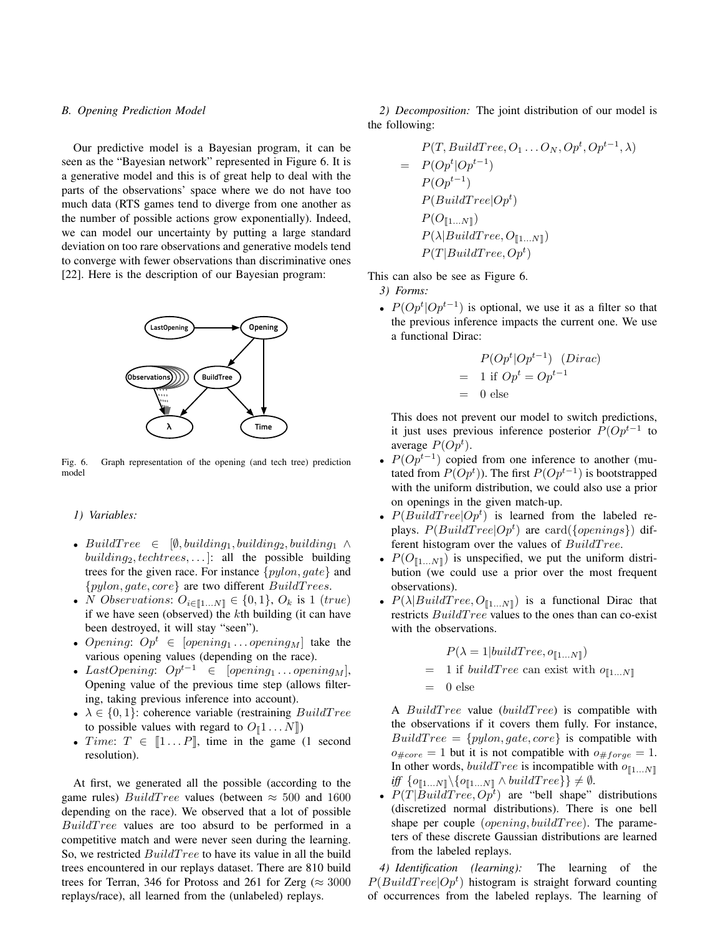## *B. Opening Prediction Model*

Our predictive model is a Bayesian program, it can be seen as the "Bayesian network" represented in Figure 6. It is a generative model and this is of great help to deal with the parts of the observations' space where we do not have too much data (RTS games tend to diverge from one another as the number of possible actions grow exponentially). Indeed, we can model our uncertainty by putting a large standard deviation on too rare observations and generative models tend to converge with fewer observations than discriminative ones [22]. Here is the description of our Bayesian program:



Fig. 6. Graph representation of the opening (and tech tree) prediction model

### *1) Variables:*

- BuildTree  $\in$  [Ø, building<sub>1</sub>, building<sub>2</sub>, building<sub>1</sub>  $\wedge$ building<sub>2</sub>, techtrees, ... ]: all the possible building trees for the given race. For instance  $\{pylon, gate\}$  and  ${pylon, gate, core}$  are two different  $Build Trees.$
- *N Observations:*  $O_{i \in \llbracket 1...N \rrbracket} \in \{0,1\}, O_k$  is 1 (true) if we have seen (observed) the kth building (it can have been destroyed, it will stay "seen").
- Opening:  $Op^t \in [opening_1...opening_M]$  take the various opening values (depending on the race).
- LastOpening:  $Opt^{-1} \in [opening_1 \dots opening_M],$ Opening value of the previous time step (allows filtering, taking previous inference into account).
- $\lambda \in \{0, 1\}$ : coherence variable (restraining  $BuildTree$ to possible values with regard to  $O_{\parallel}1 \dots N$ ])
- Time:  $T \in [1...P]$ , time in the game (1 second resolution).

At first, we generated all the possible (according to the game rules) *BuildTree* values (between  $\approx 500$  and 1600 depending on the race). We observed that a lot of possible  $BuildTree$  values are too absurd to be performed in a competitive match and were never seen during the learning. So, we restricted  $BuildTree$  to have its value in all the build trees encountered in our replays dataset. There are 810 build trees for Terran, 346 for Protoss and 261 for Zerg ( $\approx 3000$ replays/race), all learned from the (unlabeled) replays.

*2) Decomposition:* The joint distribution of our model is the following:

$$
P(T, BuildTree, O_1 ... O_N, Op^t, Op^{t-1}, \lambda)
$$
  
=  $P(Op^t|Op^{t-1})$   
 $P(Op^{t-1})$   
 $P(BuildTree|Op^t)$   
 $P(O_{[1...N]})$   
 $P(\lambda|BuildTree, O_{[1...N]})$   
 $P(T|BuildTree, Op^t)$ 

This can also be see as Figure 6.

*3) Forms:*

•  $P(Op^t|Op^{t-1})$  is optional, we use it as a filter so that the previous inference impacts the current one. We use a functional Dirac:

$$
P(Opt|Opt-1) (Dirac)
$$
  
= 1 if  $Opt = Opt-1$   
= 0 else

This does not prevent our model to switch predictions, it just uses previous inference posterior  $P(Op^{t-1}$  to average  $P(Op^t)$ .

- $P(Op^{t-1})$  copied from one inference to another (mutated from  $P(Op^t)$ ). The first  $P(Op^{t-1})$  is bootstrapped with the uniform distribution, we could also use a prior on openings in the given match-up.
- $P(BuildTree|Op^t)$  is learned from the labeled replays.  $P(BuildTree|Op^t)$  are card({*openings*}) different histogram over the values of  $BuildTree$ .
- $P(O_{\llbracket 1...N\rrbracket})$  is unspecified, we put the uniform distribution (we could use a prior over the most frequent observations).
- $P(\lambda | BuildTree, O_{[1...N]})$  is a functional Dirac that restricts  $BuildTree$  values to the ones than can co-exist with the observations.

$$
P(\lambda = 1|buildTree, o_{[\![ 1...N]\!]})
$$

= 1 if 
$$
buildTree
$$
 can exist with  $o_{[[1...N]]}$ 

 $= 0$  else

A BuildTree value (buildTree) is compatible with the observations if it covers them fully. For instance,  $Build Tree = {pylon, gate, core}$  is compatible with  $o_{\text{\#core}} = 1$  but it is not compatible with  $o_{\text{\#fore}} = 1$ . In other words, *buildTree* is incompatible with  $o_{\llbracket 1...N\rrbracket}$ *iff*  $\{o_{\llbracket 1...N\rrbracket} \setminus \{o_{\llbracket 1...N\rrbracket} \land \text{buildTree} \} \neq \emptyset.$ 

•  $P(T|\text{BuildTree}, \text{Op}^t)$  are "bell shape" distributions (discretized normal distributions). There is one bell shape per couple  $(opening, buildTree)$ . The parameters of these discrete Gaussian distributions are learned from the labeled replays.

*4) Identification (learning):* The learning of the  $P(BuildTree|Op<sup>t</sup>)$  histogram is straight forward counting of occurrences from the labeled replays. The learning of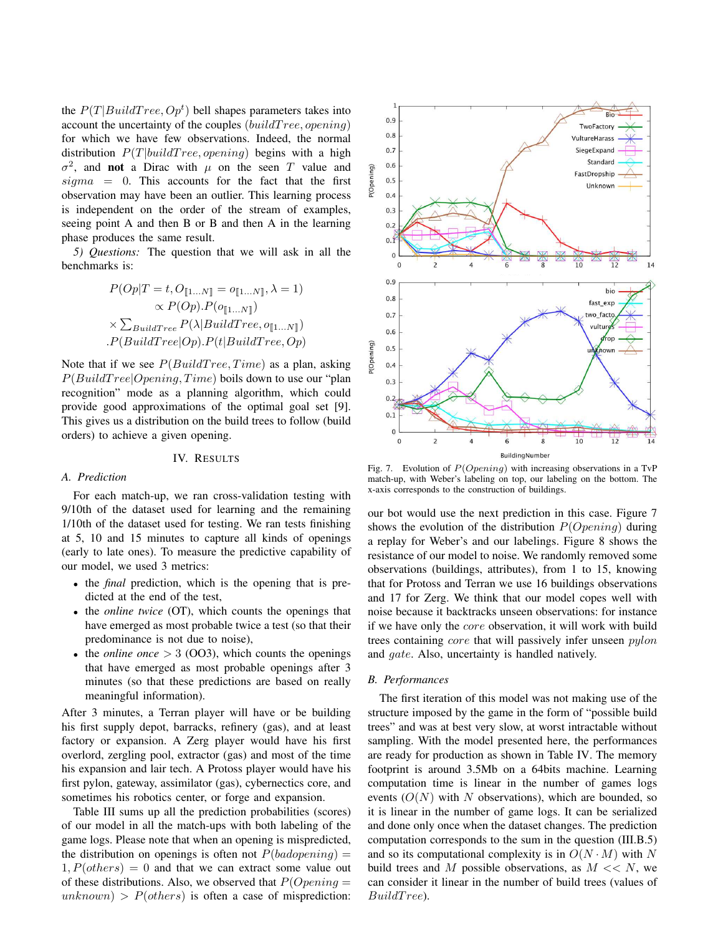the  $P(T|BuildTree, Opt)$  bell shapes parameters takes into account the uncertainty of the couples  $(buildTree, opening)$ for which we have few observations. Indeed, the normal distribution  $P(T|buildTree, opening)$  begins with a high  $\sigma^2$ , and **not** a Dirac with  $\mu$  on the seen T value and  $sigma = 0$ . This accounts for the fact that the first observation may have been an outlier. This learning process is independent on the order of the stream of examples, seeing point A and then B or B and then A in the learning phase produces the same result.

*5) Questions:* The question that we will ask in all the benchmarks is:

$$
P(Op|T = t, O_{[1...N]} = o_{[1...N]}, \lambda = 1)
$$

$$
\propto P(Op).P(o_{[1...N]})
$$

$$
\times \sum_{BuildTree} P(\lambda | BuildTree, o_{[1...N]})
$$
.
$$
P(BuildTree|Op).P(t|BuildTree, Op)
$$

Note that if we see  $P(BuildTree, Time)$  as a plan, asking  $P(BuildTree|Opening, Time)$  boils down to use our "plan recognition" mode as a planning algorithm, which could provide good approximations of the optimal goal set [9]. This gives us a distribution on the build trees to follow (build orders) to achieve a given opening.

#### IV. RESULTS

#### *A. Prediction*

For each match-up, we ran cross-validation testing with 9/10th of the dataset used for learning and the remaining 1/10th of the dataset used for testing. We ran tests finishing at 5, 10 and 15 minutes to capture all kinds of openings (early to late ones). To measure the predictive capability of our model, we used 3 metrics:

- the *final* prediction, which is the opening that is predicted at the end of the test,
- the *online twice* (OT), which counts the openings that have emerged as most probable twice a test (so that their predominance is not due to noise),
- the *online once*  $> 3$  (OO3), which counts the openings that have emerged as most probable openings after 3 minutes (so that these predictions are based on really meaningful information).

After 3 minutes, a Terran player will have or be building his first supply depot, barracks, refinery (gas), and at least factory or expansion. A Zerg player would have his first overlord, zergling pool, extractor (gas) and most of the time his expansion and lair tech. A Protoss player would have his first pylon, gateway, assimilator (gas), cybernectics core, and sometimes his robotics center, or forge and expansion.

Table III sums up all the prediction probabilities (scores) of our model in all the match-ups with both labeling of the game logs. Please note that when an opening is mispredicted, the distribution on openings is often not  $P(bad opening) =$  $1, P(others) = 0$  and that we can extract some value out of these distributions. Also, we observed that  $P(Opening =$  $unknown$  >  $P(others)$  is often a case of misprediction:



Fig. 7. Evolution of  $P(Opening)$  with increasing observations in a TvP match-up, with Weber's labeling on top, our labeling on the bottom. The x-axis corresponds to the construction of buildings.

our bot would use the next prediction in this case. Figure 7 shows the evolution of the distribution  $P(Opening)$  during a replay for Weber's and our labelings. Figure 8 shows the resistance of our model to noise. We randomly removed some observations (buildings, attributes), from 1 to 15, knowing that for Protoss and Terran we use 16 buildings observations and 17 for Zerg. We think that our model copes well with noise because it backtracks unseen observations: for instance if we have only the core observation, it will work with build trees containing *core* that will passively infer unseen *pylon* and gate. Also, uncertainty is handled natively.

#### *B. Performances*

The first iteration of this model was not making use of the structure imposed by the game in the form of "possible build trees" and was at best very slow, at worst intractable without sampling. With the model presented here, the performances are ready for production as shown in Table IV. The memory footprint is around 3.5Mb on a 64bits machine. Learning computation time is linear in the number of games logs events  $(O(N)$  with N observations), which are bounded, so it is linear in the number of game logs. It can be serialized and done only once when the dataset changes. The prediction computation corresponds to the sum in the question (III.B.5) and so its computational complexity is in  $O(N \cdot M)$  with N build trees and M possible observations, as  $M \ll N$ , we can consider it linear in the number of build trees (values of BuildTree).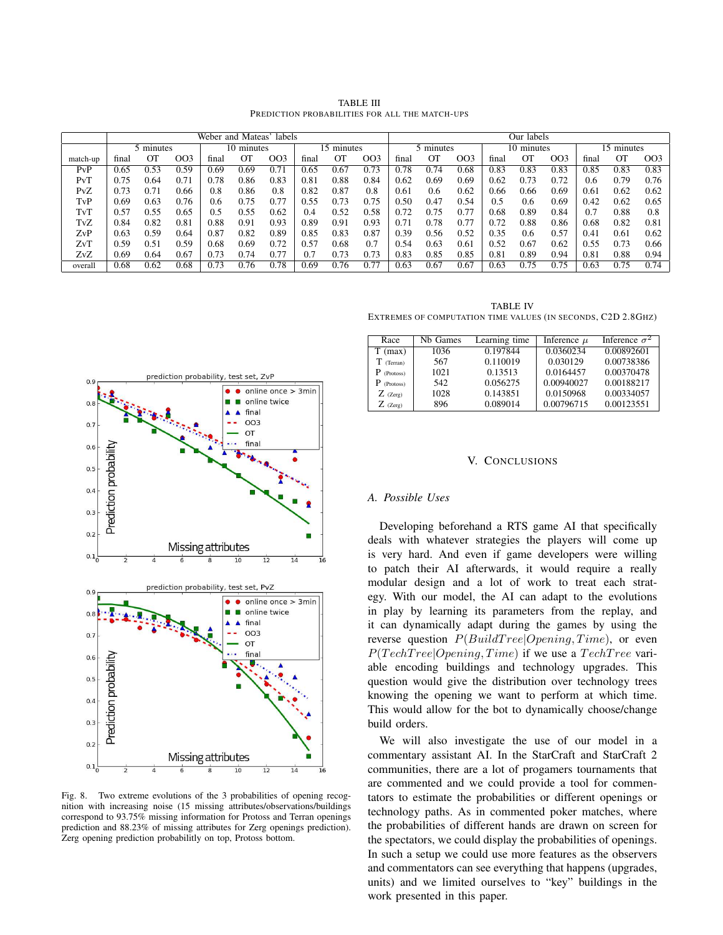TABLE III PREDICTION PROBABILITIES FOR ALL THE MATCH-UPS

|          | Weber and Mateas' labels |           |               |       |            |               |       | Our labels |      |       |           |      |       |            |      |               |            |      |
|----------|--------------------------|-----------|---------------|-------|------------|---------------|-------|------------|------|-------|-----------|------|-------|------------|------|---------------|------------|------|
|          |                          | 5 minutes |               |       | 10 minutes |               |       | 15 minutes |      |       | 5 minutes |      |       | 10 minutes |      |               | 15 minutes |      |
| match-up | final                    | OТ        | OO3           | final | OТ         | 003           | final | <b>OT</b>  | OO3  | final | OТ        | 003  | final | OТ         | 003  | final         | $\sigma$   | OO3  |
| PvP      | 0.65                     | 0.53      | 0.59          | 0.69  | 0.69       | $0.7^{\circ}$ | 0.65  | 0.67       | 0.73 | 0.78  | 0.74      | 0.68 | 0.83  | 0.83       | 0.83 | $\sqrt{0.85}$ | 0.83       | 0.83 |
| PvT      | 0.75                     | 0.64      | $0.7^{\circ}$ | 0.78  | 0.86       | 0.83          | 0.81  | 0.88       | 0.84 | 0.62  | 0.69      | 0.69 | 0.62  | 0.73       | 0.72 | 0.6           | 0.79       | 0.76 |
| PvZ      | 0.73                     | 0.71      | 0.66          | 0.8   | 0.86       | 0.8           | 0.82  | 0.87       | 0.8  | 0.61  | 0.6       | 0.62 | 0.66  | 0.66       | 0.69 | 0.61          | 0.62       | 0.62 |
| TvP      | 0.69                     | 0.63      | 0.76          | 0.6   | 0.75       | $0.7^{-}$     | 0.55  | 0.73       | 0.75 | 0.50  | 0.47      | 0.54 | 0.5   | 0.6        | 0.69 | 0.42          | 0.62       | 0.65 |
| TvT      | 0.57                     | 0.55      | 0.65          | 0.5   | 0.55       | 0.62          | 0.4   | 0.52       | 0.58 | 0.72  | 0.75      | 0.77 | 0.68  | 0.89       | 0.84 | 0.7           | 0.88       | 0.8  |
| TvZ      | 0.84                     | 0.82      | 0.81          | 0.88  | 0.91       | 0.93          | 0.89  | 0.91       | 0.93 | 0.71  | 0.78      | 0.77 | 0.72  | 0.88       | 0.86 | 0.68          | 0.82       | 0.81 |
| ZvP      | 0.63                     | 0.59      | 0.64          | 0.87  | 0.82       | 0.89          | 0.85  | 0.83       | 0.87 | 0.39  | 0.56      | 0.52 | 0.35  | 0.6        | 0.57 | 0.41          | 0.61       | 0.62 |
| ZvT      | 0.59                     | 0.51      | 0.59          | 0.68  | 0.69       | 0.72          | 0.57  | 0.68       | 0.7  | 0.54  | 0.63      | 0.61 | 0.52  | 0.67       | 0.62 | 0.55          | 0.73       | 0.66 |
| ZvZ      | 0.69                     | 0.64      | 0.67          | 0.73  | 0.74       | 0.77          | 0.7   | 0.73       | 0.73 | 0.83  | 0.85      | 0.85 | 0.81  | 0.89       | 0.94 | 0.81          | 0.88       | 0.94 |
| overall  | 0.68                     | 0.62      | 0.68          | 0.73  | 0.76       | 0.78          | 0.69  | 0.76       | 0.77 | 0.63  | 0.67      | 0.67 | 0.63  | 0.75       | 0.75 | 0.63          | 0.75       | 0.74 |



Fig. 8. Two extreme evolutions of the 3 probabilities of opening recognition with increasing noise (15 missing attributes/observations/buildings correspond to 93.75% missing information for Protoss and Terran openings prediction and 88.23% of missing attributes for Zerg openings prediction). Zerg opening prediction probabilitly on top, Protoss bottom.

TABLE IV EXTREMES OF COMPUTATION TIME VALUES (IN SECONDS, C2D 2.8GHZ)

| Race          | Nb Games | Learning time | Inference $\mu$ | Inference $\sigma^2$ |
|---------------|----------|---------------|-----------------|----------------------|
| $T$ (max)     | 1036     | 0.197844      | 0.0360234       | 0.00892601           |
| $T$ (Terran)  | 567      | 0.110019      | 0.030129        | 0.00738386           |
| $P$ (Protoss) | 1021     | 0.13513       | 0.0164457       | 0.00370478           |
| $P$ (Protoss) | 542      | 0.056275      | 0.00940027      | 0.00188217           |
| $Z$ (Zerg)    | 1028     | 0.143851      | 0.0150968       | 0.00334057           |
| $Z$ (Zerg)    | 896      | 0.089014      | 0.00796715      | 0.00123551           |

#### V. CONCLUSIONS

#### *A. Possible Uses*

Developing beforehand a RTS game AI that specifically deals with whatever strategies the players will come up is very hard. And even if game developers were willing to patch their AI afterwards, it would require a really modular design and a lot of work to treat each strategy. With our model, the AI can adapt to the evolutions in play by learning its parameters from the replay, and it can dynamically adapt during the games by using the reverse question  $P(BuildTree|Opening, Time)$ , or even  $P(TechTree|Opening, Time)$  if we use a  $TechTree$  variable encoding buildings and technology upgrades. This question would give the distribution over technology trees knowing the opening we want to perform at which time. This would allow for the bot to dynamically choose/change build orders.

We will also investigate the use of our model in a commentary assistant AI. In the StarCraft and StarCraft 2 communities, there are a lot of progamers tournaments that are commented and we could provide a tool for commentators to estimate the probabilities or different openings or technology paths. As in commented poker matches, where the probabilities of different hands are drawn on screen for the spectators, we could display the probabilities of openings. In such a setup we could use more features as the observers and commentators can see everything that happens (upgrades, units) and we limited ourselves to "key" buildings in the work presented in this paper.